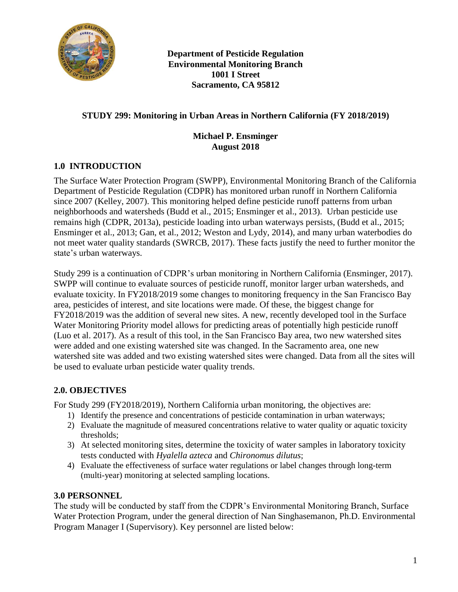

**Department of Pesticide Regulation Environmental Monitoring Branch 1001 I Street Sacramento, CA 95812** 

## **STUDY 299: Monitoring in Urban Areas in Northern California (FY 2018/2019)**

#### **Michael P. Ensminger August 2018**

## **1.0 INTRODUCTION**

The Surface Water Protection Program (SWPP), Environmental Monitoring Branch of the California Department of Pesticide Regulation (CDPR) has monitored urban runoff in Northern California since 2007 (Kelley, 2007). This monitoring helped define pesticide runoff patterns from urban neighborhoods and watersheds (Budd et al., 2015; Ensminger et al., 2013). Urban pesticide use remains high (CDPR, 2013a), pesticide loading into urban waterways persists, (Budd et al., 2015; Ensminger et al., 2013; Gan, et al., 2012; Weston and Lydy, 2014), and many urban waterbodies do not meet water quality standards (SWRCB, 2017). These facts justify the need to further monitor the state's urban waterways.

Study 299 is a continuation of CDPR's urban monitoring in Northern California (Ensminger, 2017). SWPP will continue to evaluate sources of pesticide runoff, monitor larger urban watersheds, and evaluate toxicity. In FY2018/2019 some changes to monitoring frequency in the San Francisco Bay area, pesticides of interest, and site locations were made. Of these, the biggest change for FY2018/2019 was the addition of several new sites. A new, recently developed tool in the Surface Water Monitoring Priority model allows for predicting areas of potentially high pesticide runoff (Luo et al. 2017). As a result of this tool, in the San Francisco Bay area, two new watershed sites were added and one existing watershed site was changed. In the Sacramento area, one new watershed site was added and two existing watershed sites were changed. Data from all the sites will be used to evaluate urban pesticide water quality trends.

## **2.0. OBJECTIVES**

For Study 299 (FY2018/2019), Northern California urban monitoring, the objectives are:

- 1) Identify the presence and concentrations of pesticide contamination in urban waterways;
- 2) Evaluate the magnitude of measured concentrations relative to water quality or aquatic toxicity thresholds;
- 3) At selected monitoring sites, determine the toxicity of water samples in laboratory toxicity tests conducted with *Hyalella azteca* and *Chironomus dilutus*;
- 4) Evaluate the effectiveness of surface water regulations or label changes through long-term (multi-year) monitoring at selected sampling locations.

## **3.0 PERSONNEL**

The study will be conducted by staff from the CDPR's Environmental Monitoring Branch, Surface Water Protection Program, under the general direction of Nan Singhasemanon, Ph.D. Environmental Program Manager I (Supervisory). Key personnel are listed below: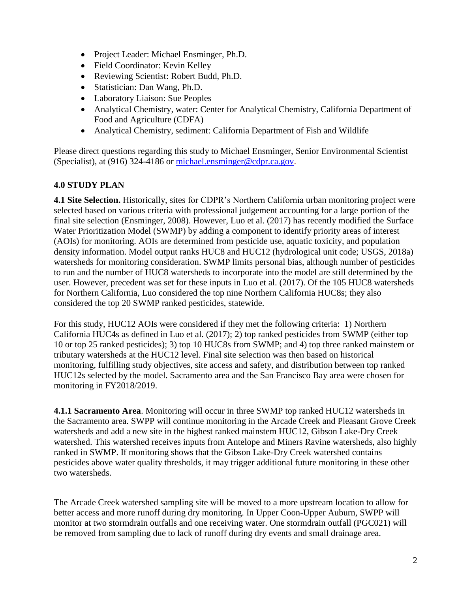- Project Leader: Michael Ensminger, Ph.D.
- Field Coordinator: Kevin Kelley
- Reviewing Scientist: Robert Budd, Ph.D.
- Statistician: Dan Wang, Ph.D.
- Laboratory Liaison: Sue Peoples
- Analytical Chemistry, water: Center for Analytical Chemistry, California Department of Food and Agriculture (CDFA)
- Analytical Chemistry, sediment: California Department of Fish and Wildlife

Please direct questions regarding this study to Michael Ensminger, Senior Environmental Scientist (Specialist), at (916) 324-4186 or [michael.ensminger@cdpr.ca.gov.](mailto:michael.ensminger@cdpr.ca.gov)

# **4.0 STUDY PLAN**

**4.1 Site Selection.** Historically, sites for CDPR's Northern California urban monitoring project were selected based on various criteria with professional judgement accounting for a large portion of the final site selection (Ensminger, 2008). However, Luo et al. (2017) has recently modified the Surface Water Prioritization Model (SWMP) by adding a component to identify priority areas of interest (AOIs) for monitoring. AOIs are determined from pesticide use, aquatic toxicity, and population density information. Model output ranks HUC8 and HUC12 (hydrological unit code; USGS, 2018a) watersheds for monitoring consideration. SWMP limits personal bias, although number of pesticides to run and the number of HUC8 watersheds to incorporate into the model are still determined by the user. However, precedent was set for these inputs in Luo et al. (2017). Of the 105 HUC8 watersheds for Northern California, Luo considered the top nine Northern California HUC8s; they also considered the top 20 SWMP ranked pesticides, statewide.

For this study, HUC12 AOIs were considered if they met the following criteria: 1) Northern California HUC4s as defined in Luo et al. (2017); 2) top ranked pesticides from SWMP (either top 10 or top 25 ranked pesticides); 3) top 10 HUC8s from SWMP; and 4) top three ranked mainstem or tributary watersheds at the HUC12 level. Final site selection was then based on historical monitoring, fulfilling study objectives, site access and safety, and distribution between top ranked HUC12s selected by the model. Sacramento area and the San Francisco Bay area were chosen for monitoring in FY2018/2019.

**4.1.1 Sacramento Area**. Monitoring will occur in three SWMP top ranked HUC12 watersheds in the Sacramento area. SWPP will continue monitoring in the Arcade Creek and Pleasant Grove Creek watersheds and add a new site in the highest ranked mainstem HUC12, Gibson Lake-Dry Creek watershed. This watershed receives inputs from Antelope and Miners Ravine watersheds, also highly ranked in SWMP. If monitoring shows that the Gibson Lake-Dry Creek watershed contains pesticides above water quality thresholds, it may trigger additional future monitoring in these other two watersheds.

The Arcade Creek watershed sampling site will be moved to a more upstream location to allow for better access and more runoff during dry monitoring. In Upper Coon-Upper Auburn, SWPP will monitor at two stormdrain outfalls and one receiving water. One stormdrain outfall (PGC021) will be removed from sampling due to lack of runoff during dry events and small drainage area.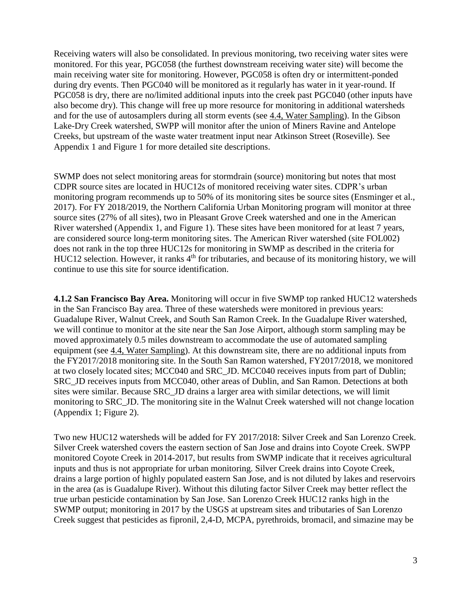Receiving waters will also be consolidated. In previous monitoring, two receiving water sites were monitored. For this year, PGC058 (the furthest downstream receiving water site) will become the main receiving water site for monitoring. However, PGC058 is often dry or intermittent-ponded during dry events. Then PGC040 will be monitored as it regularly has water in it year-round. If PGC058 is dry, there are no/limited additional inputs into the creek past PGC040 (other inputs have also become dry). This change will free up more resource for monitoring in additional watersheds and for the use of autosamplers during all storm events (see [4.4, Water Sampling\)](#page-3-0). In the Gibson Lake-Dry Creek watershed, SWPP will monitor after the union of Miners Ravine and Antelope Creeks, but upstream of the waste water treatment input near Atkinson Street (Roseville). See Appendix 1 and Figure 1 for more detailed site descriptions.

SWMP does not select monitoring areas for stormdrain (source) monitoring but notes that most CDPR source sites are located in HUC12s of monitored receiving water sites. CDPR's urban monitoring program recommends up to 50% of its monitoring sites be source sites (Ensminger et al., 2017). For FY 2018/2019, the Northern California Urban Monitoring program will monitor at three source sites (27% of all sites), two in Pleasant Grove Creek watershed and one in the American River watershed (Appendix 1, and Figure 1). These sites have been monitored for at least 7 years, are considered source long-term monitoring sites. The American River watershed (site FOL002) does not rank in the top three HUC12s for monitoring in SWMP as described in the criteria for HUC12 selection. However, it ranks 4<sup>th</sup> for tributaries, and because of its monitoring history, we will continue to use this site for source identification.

**4.1.2 San Francisco Bay Area.** Monitoring will occur in five SWMP top ranked HUC12 watersheds in the San Francisco Bay area. Three of these watersheds were monitored in previous years: Guadalupe River, Walnut Creek, and South San Ramon Creek. In the Guadalupe River watershed, we will continue to monitor at the site near the San Jose Airport, although storm sampling may be moved approximately 0.5 miles downstream to accommodate the use of automated sampling equipment (see [4.4, Water Sampling\)](#page-3-0). At this downstream site, there are no additional inputs from the FY2017/2018 monitoring site. In the South San Ramon watershed, FY2017/2018, we monitored at two closely located sites; MCC040 and SRC\_JD. MCC040 receives inputs from part of Dublin; SRC\_JD receives inputs from MCC040, other areas of Dublin, and San Ramon. Detections at both sites were similar. Because SRC\_JD drains a larger area with similar detections, we will limit monitoring to SRC\_JD. The monitoring site in the Walnut Creek watershed will not change location (Appendix 1; Figure 2).

Two new HUC12 watersheds will be added for FY 2017/2018: Silver Creek and San Lorenzo Creek. Silver Creek watershed covers the eastern section of San Jose and drains into Coyote Creek. SWPP monitored Coyote Creek in 2014-2017, but results from SWMP indicate that it receives agricultural inputs and thus is not appropriate for urban monitoring. Silver Creek drains into Coyote Creek, drains a large portion of highly populated eastern San Jose, and is not diluted by lakes and reservoirs in the area (as is Guadalupe River). Without this diluting factor Silver Creek may better reflect the true urban pesticide contamination by San Jose. San Lorenzo Creek HUC12 ranks high in the SWMP output; monitoring in 2017 by the USGS at upstream sites and tributaries of San Lorenzo Creek suggest that pesticides as fipronil, 2,4-D, MCPA, pyrethroids, bromacil, and simazine may be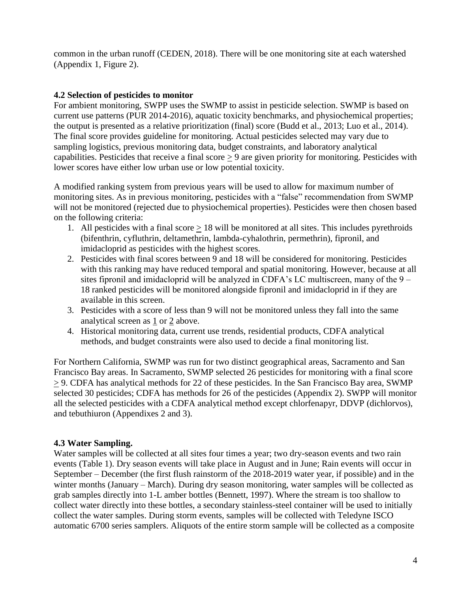common in the urban runoff (CEDEN, 2018). There will be one monitoring site at each watershed (Appendix 1, Figure 2).

## **4.2 Selection of pesticides to monitor**

For ambient monitoring, SWPP uses the SWMP to assist in pesticide selection. SWMP is based on current use patterns (PUR 2014-2016), aquatic toxicity benchmarks, and physiochemical properties; the output is presented as a relative prioritization (final) score (Budd et al., 2013; Luo et al., 2014). The final score provides guideline for monitoring. Actual pesticides selected may vary due to sampling logistics, previous monitoring data, budget constraints, and laboratory analytical capabilities. Pesticides that receive a final score > 9 are given priority for monitoring. Pesticides with lower scores have either low urban use or low potential toxicity.

A modified ranking system from previous years will be used to allow for maximum number of monitoring sites. As in previous monitoring, pesticides with a "false" recommendation from SWMP will not be monitored (rejected due to physiochemical properties). Pesticides were then chosen based on the following criteria:

- 1. All pesticides with a final score > 18 will be monitored at all sites. This includes pyrethroids (bifenthrin, cyfluthrin, deltamethrin, lambda-cyhalothrin, permethrin), fipronil, and imidacloprid as pesticides with the highest scores.
- 2. Pesticides with final scores between 9 and 18 will be considered for monitoring. Pesticides with this ranking may have reduced temporal and spatial monitoring. However, because at all sites fipronil and imidacloprid will be analyzed in CDFA's LC multiscreen, many of the 9 – 18 ranked pesticides will be monitored alongside fipronil and imidacloprid in if they are available in this screen.
- 3. Pesticides with a score of less than 9 will not be monitored unless they fall into the same analytical screen as 1 or 2 above.
- 4. Historical monitoring data, current use trends, residential products, CDFA analytical methods, and budget constraints were also used to decide a final monitoring list.

For Northern California, SWMP was run for two distinct geographical areas, Sacramento and San Francisco Bay areas. In Sacramento, SWMP selected 26 pesticides for monitoring with a final score > 9. CDFA has analytical methods for 22 of these pesticides. In the San Francisco Bay area, SWMP selected 30 pesticides; CDFA has methods for 26 of the pesticides (Appendix 2). SWPP will monitor all the selected pesticides with a CDFA analytical method except chlorfenapyr, DDVP (dichlorvos), and tebuthiuron (Appendixes 2 and 3).

## <span id="page-3-0"></span>**4.3 Water Sampling.**

Water samples will be collected at all sites four times a year; two dry-season events and two rain events (Table 1). Dry season events will take place in August and in June; Rain events will occur in September – December (the first flush rainstorm of the 2018-2019 water year, if possible) and in the winter months (January – March). During dry season monitoring, water samples will be collected as grab samples directly into 1-L amber bottles (Bennett, 1997). Where the stream is too shallow to collect water directly into these bottles, a secondary stainless-steel container will be used to initially collect the water samples. During storm events, samples will be collected with Teledyne ISCO automatic 6700 series samplers. Aliquots of the entire storm sample will be collected as a composite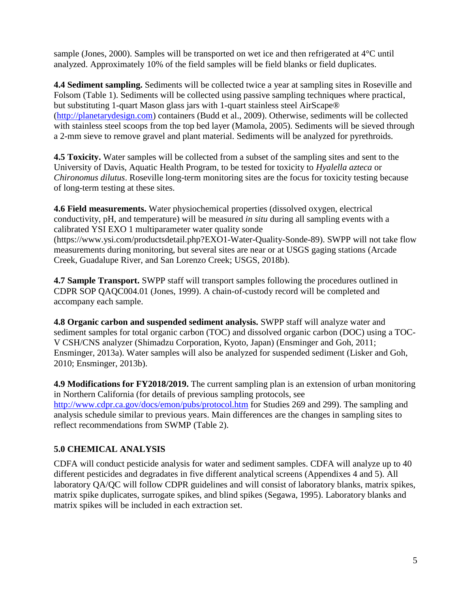sample (Jones, 2000). Samples will be transported on wet ice and then refrigerated at 4°C until analyzed. Approximately 10% of the field samples will be field blanks or field duplicates.

**4.4 Sediment sampling.** Sediments will be collected twice a year at sampling sites in Roseville and Folsom (Table 1). Sediments will be collected using passive sampling techniques where practical, but substituting 1-quart Mason glass jars with 1-quart stainless steel AirScape® [\(http://planetarydesign.com\)](http://planetarydesign.com/) containers (Budd et al., 2009). Otherwise, sediments will be collected with stainless steel scoops from the top bed layer (Mamola, 2005). Sediments will be sieved through a 2-mm sieve to remove gravel and plant material. Sediments will be analyzed for pyrethroids.

**4.5 Toxicity.** Water samples will be collected from a subset of the sampling sites and sent to the University of Davis, Aquatic Health Program, to be tested for toxicity to *Hyalella azteca* or *Chironomus dilutus*. Roseville long-term monitoring sites are the focus for toxicity testing because of long-term testing at these sites.

**4.6 Field measurements.** Water physiochemical properties (dissolved oxygen, electrical conductivity, pH, and temperature) will be measured *in situ* during all sampling events with a calibrated YSI EXO 1 multiparameter water quality sonde (https://www.ysi.com/productsdetail.php?EXO1-Water-Quality-Sonde-89). SWPP will not take flow measurements during monitoring, but several sites are near or at USGS gaging stations (Arcade Creek, Guadalupe River, and San Lorenzo Creek; USGS, 2018b).

**4.7 Sample Transport.** SWPP staff will transport samples following the procedures outlined in CDPR SOP QAQC004.01 (Jones, 1999). A chain-of-custody record will be completed and accompany each sample.

**4.8 Organic carbon and suspended sediment analysis.** SWPP staff will analyze water and sediment samples for total organic carbon (TOC) and dissolved organic carbon (DOC) using a TOC-V CSH/CNS analyzer (Shimadzu Corporation, Kyoto, Japan) (Ensminger and Goh, 2011; Ensminger, 2013a). Water samples will also be analyzed for suspended sediment (Lisker and Goh, 2010; Ensminger, 2013b).

**4.9 Modifications for FY2018/2019.** The current sampling plan is an extension of urban monitoring in Northern California (for details of previous sampling protocols, see <http://www.cdpr.ca.gov/docs/emon/pubs/protocol.htm> for Studies 269 and 299). The sampling and analysis schedule similar to previous years. Main differences are the changes in sampling sites to reflect recommendations from SWMP (Table 2).

# **5.0 CHEMICAL ANALYSIS**

CDFA will conduct pesticide analysis for water and sediment samples. CDFA will analyze up to 40 different pesticides and degradates in five different analytical screens (Appendixes 4 and 5). All laboratory QA/QC will follow CDPR guidelines and will consist of laboratory blanks, matrix spikes, matrix spike duplicates, surrogate spikes, and blind spikes (Segawa, 1995). Laboratory blanks and matrix spikes will be included in each extraction set.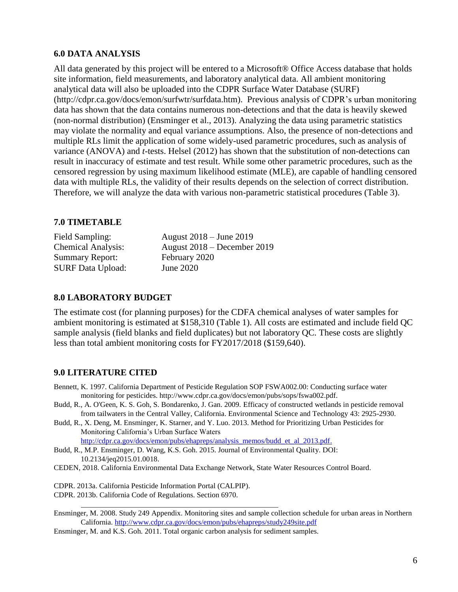#### **6.0 DATA ANALYSIS**

All data generated by this project will be entered to a Microsoft® Office Access database that holds site information, field measurements, and laboratory analytical data. All ambient monitoring analytical data will also be uploaded into the CDPR Surface Water Database (SURF) (http://cdpr.ca.gov/docs/emon/surfwtr/surfdata.htm). Previous analysis of CDPR's urban monitoring data has shown that the data contains numerous non-detections and that the data is heavily skewed (non-normal distribution) (Ensminger et al., 2013). Analyzing the data using parametric statistics may violate the normality and equal variance assumptions. Also, the presence of non-detections and multiple RLs limit the application of some widely-used parametric procedures, such as analysis of variance (ANOVA) and *t*-tests. Helsel (2012) has shown that the substitution of non-detections can result in inaccuracy of estimate and test result. While some other parametric procedures, such as the censored regression by using maximum likelihood estimate (MLE), are capable of handling censored data with multiple RLs, the validity of their results depends on the selection of correct distribution. Therefore, we will analyze the data with various non-parametric statistical procedures (Table 3).

#### **7.0 TIMETABLE**

Summary Report: February 2020 SURF Data Upload: June 2020

Field Sampling: August 2018 – June 2019 Chemical Analysis: August 2018 – December 2019

#### **8.0 LABORATORY BUDGET**

The estimate cost (for planning purposes) for the CDFA chemical analyses of water samples for ambient monitoring is estimated at \$158,310 (Table 1). All costs are estimated and include field QC sample analysis (field blanks and field duplicates) but not laboratory QC. These costs are slightly less than total ambient monitoring costs for FY2017/2018 (\$159,640).

#### **9.0 LITERATURE CITED**

- Bennett, K. 1997. California Department of Pesticide Regulation SOP FSWA002.00: Conducting surface water monitoring for pesticides. http://www.cdpr.ca.gov/docs/emon/pubs/sops/fswa002.pdf.
- Budd, R., A. O'Geen, K. S. Goh, S. Bondarenko, J. Gan. 2009. Efficacy of constructed wetlands in pesticide removal from tailwaters in the Central Valley, California. Environmental Science and Technology 43: 2925-2930.
- Budd, R., X. Deng, M. Ensminger, K. Starner, and Y. Luo. 2013. Method for Prioritizing Urban Pesticides for Monitoring California's Urban Surface Waters

[http://cdpr.ca.gov/docs/emon/pubs/ehapreps/analysis\\_memos/budd\\_et\\_al\\_2013.pdf.](http://cdpr.ca.gov/docs/emon/pubs/ehapreps/analysis_memos/budd_et_al_2013.pdf)

- Budd, R., M.P. Ensminger, D. Wang, K.S. Goh. 2015. Journal of Environmental Quality. DOI: 10.2134/jeq2015.01.0018.
- CEDEN, 2018. California Environmental Data Exchange Network, State Water Resources Control Board.

CDPR. 2013a. California Pesticide Information Portal (CALPIP). CDPR. 2013b. California Code of Regulations. Section 6970.

Ensminger, M. 2008. Study 249 Appendix. Monitoring sites and sample collection schedule for urban areas in Northern California.<http://www.cdpr.ca.gov/docs/emon/pubs/ehapreps/study249site.pdf>

Ensminger, M. and K.S. Goh. 2011. Total organic carbon analysis for sediment samples.

[http://www.cdpr.ca.gov/docs/legbills/calcode/040501.htm#a6970.](http://www.cdpr.ca.gov/docs/legbills/calcode/040501.htm#a6970)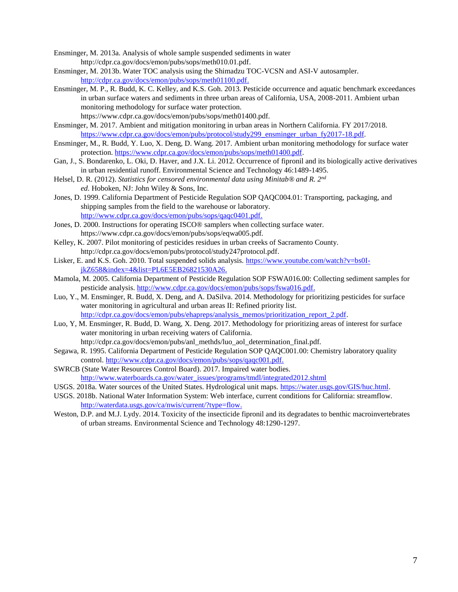Ensminger, M. 2013a. Analysis of whole sample suspended sediments in water http://cdpr.ca.gov/docs/emon/pubs/sops/meth010.01.pdf.

- Ensminger, M. 2013b. Water TOC analysis using the Shimadzu TOC-VCSN and ASI-V autosampler. [http://cdpr.ca.gov/docs/emon/pubs/sops/meth01100.pdf.](http://cdpr.ca.gov/docs/emon/pubs/sops/meth01100.pdf)
- Ensminger, M. P., R. Budd, K. C. Kelley, and K.S. Goh. 2013. Pesticide occurrence and aquatic benchmark exceedances in urban surface waters and sediments in three urban areas of California, USA, 2008-2011. Ambient urban monitoring methodology for surface water protection. https://www.cdpr.ca.gov/docs/emon/pubs/sops/meth01400.pdf.
- Ensminger, M. 2017. Ambient and mitigation monitoring in urban areas in Northern California. FY 2017/2018. [https://www.cdpr.ca.gov/docs/emon/pubs/protocol/study299\\_ensminger\\_urban\\_fy2017-18.pdf.](https://www.cdpr.ca.gov/docs/emon/pubs/protocol/study299_ensminger_urban_fy2017-18.pdf)
- Ensminger, M., R. Budd, Y. Luo, X. Deng, D. Wang. 2017. Ambient urban monitoring methodology for surface water protection[. https://www.cdpr.ca.gov/docs/emon/pubs/sops/meth01400.pdf.](https://www.cdpr.ca.gov/docs/emon/pubs/sops/meth01400.pdf)
- Gan, J., S. Bondarenko, L. Oki, D. Haver, and J.X. Li. 2012. Occurrence of fipronil and its biologically active derivatives in urban residential runoff. Environmental Science and Technology 46:1489-1495.
- Helsel, D. R. (2012). *Statistics for censored environmental data using Minitab® and R. 2nd ed.* Hoboken, NJ: John Wiley & Sons, Inc.
- Jones, D. 1999. California Department of Pesticide Regulation SOP QAQC004.01: Transporting, packaging, and shipping samples from the field to the warehouse or laboratory. [http://www.cdpr.ca.gov/docs/emon/pubs/sops/qaqc0401.pdf.](http://www.cdpr.ca.gov/docs/emon/pubs/sops/qaqc0401.pdf)
- Jones, D. 2000. Instructions for operating ISCO® samplers when collecting surface water. https://www.cdpr.ca.gov/docs/emon/pubs/sops/eqwa005.pdf.
- Kelley, K. 2007. Pilot monitoring of pesticides residues in urban creeks of Sacramento County. http://cdpr.ca.gov/docs/emon/pubs/protocol/study247protocol.pdf.
- Lisker, E. and K.S. Goh. 2010. Total suspended solids analysis. [https://www.youtube.com/watch?v=bs0I](https://www.youtube.com/watch?v=bs0I-jkZ658&index=4&list=PL6E5EB26821530A26)[jkZ658&index=4&list=PL6E5EB26821530A26.](https://www.youtube.com/watch?v=bs0I-jkZ658&index=4&list=PL6E5EB26821530A26)
- Mamola, M. 2005. California Department of Pesticide Regulation SOP FSWA016.00: Collecting sediment samples for pesticide analysis. [http://www.cdpr.ca.gov/docs/emon/pubs/sops/fswa016.pdf.](http://www.cdpr.ca.gov/docs/emon/pubs/sops/fswa016.pdf)
- Luo, Y., M. Ensminger, R. Budd, X. Deng, and A. DaSilva. 2014. Methodology for prioritizing pesticides for surface water monitoring in agricultural and urban areas II: Refined priority list. [http://cdpr.ca.gov/docs/emon/pubs/ehapreps/analysis\\_memos/prioritization\\_report\\_2.pdf.](http://cdpr.ca.gov/docs/emon/pubs/ehapreps/analysis_memos/prioritization_report_2.pdf)
- Luo, Y, M. Ensminger, R. Budd, D. Wang, X. Deng. 2017. Methodology for prioritizing areas of interest for surface water monitoring in urban receiving waters of California.

http://cdpr.ca.gov/docs/emon/pubs/anl\_methds/luo\_aol\_determination\_final.pdf.

- Segawa, R. 1995. California Department of Pesticide Regulation SOP QAQC001.00: Chemistry laboratory quality control. [http://www.cdpr.ca.gov/docs/emon/pubs/sops/qaqc001.pdf.](http://www.cdpr.ca.gov/docs/emon/pubs/sops/qaqc001.pdf)
- SWRCB (State Water Resources Control Board). 2017. Impaired water bodies. [http://www.waterboards.ca.gov/water\\_issues/programs/tmdl/integrated2012.shtml](http://www.waterboards.ca.gov/water_issues/programs/tmdl/integrated2012.shtml)
- USGS. 2018a. Water sources of the United States. Hydrological unit maps. [https://water.usgs.gov/GIS/huc.html.](https://water.usgs.gov/GIS/huc.html)
- USGS. 2018b. National Water Information System: Web interface, current conditions for California: streamflow. [http://waterdata.usgs.gov/ca/nwis/current/?type=flow.](http://waterdata.usgs.gov/ca/nwis/current/?type=flow)
- Weston, D.P. and M.J. Lydy. 2014. Toxicity of the insecticide fipronil and its degradates to benthic macroinvertebrates of urban streams. Environmental Science and Technology 48:1290-1297.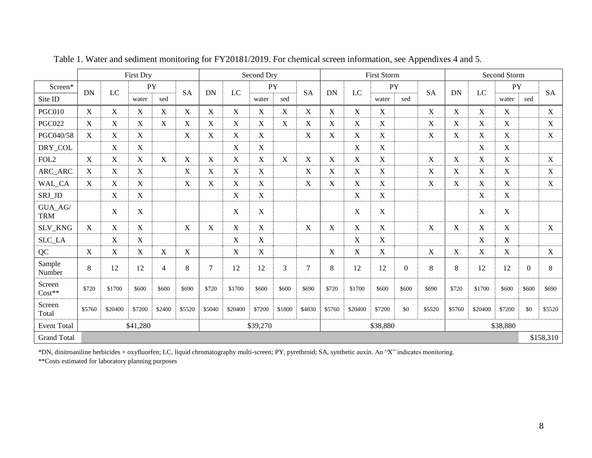|                                            | <b>First Dry</b>          |                           |                           |                |             | Second Dry     |             |                      | <b>First Storm</b> |                |             |             | Second Storm |                  |             |             |             |                  |          |             |
|--------------------------------------------|---------------------------|---------------------------|---------------------------|----------------|-------------|----------------|-------------|----------------------|--------------------|----------------|-------------|-------------|--------------|------------------|-------------|-------------|-------------|------------------|----------|-------------|
| Screen*                                    |                           |                           | PY                        |                |             |                |             | <b>PY</b>            |                    |                |             |             | PY           |                  |             |             |             | PY               |          |             |
| Site ID                                    | <b>DN</b>                 | LC                        | water                     | sed            | <b>SA</b>   | <b>DN</b>      | LC          | water                | sed                | <b>SA</b>      | <b>DN</b>   | LC          | water        | sed              | <b>SA</b>   | <b>DN</b>   | LC          | water            | sed      | <b>SA</b>   |
| <b>PGC010</b>                              | $\boldsymbol{\mathrm{X}}$ | $\mathbf X$               | X                         | $\mathbf X$    | X           | X              | $\mathbf X$ | $\mathbf X$          | X                  | $\mathbf X$    | $\mathbf X$ | $\mathbf X$ | $\mathbf X$  |                  | X           | $\mathbf X$ | $\mathbf X$ | $\mathbf X$      |          | X           |
| <b>PGC022</b>                              | $\boldsymbol{\mathrm{X}}$ | $\boldsymbol{\mathrm{X}}$ | $\mathbf X$               | $\mathbf X$    | $\mathbf X$ | $\mathbf X$    | $\mathbf X$ | $\mathbf X$          | X                  | $\mathbf X$    | $\mathbf X$ | $\mathbf X$ | X            |                  | $\mathbf X$ | $\mathbf X$ | X           | $\mathbf X$      |          | $\mathbf X$ |
| PGC040/58                                  | $\mathbf X$               | $\mathbf X$               | $\mathbf X$               |                | $\mathbf X$ | X              | $\mathbf X$ | $\mathbf X$          |                    | $\mathbf X$    | $\mathbf X$ | $\mathbf X$ | $\mathbf X$  |                  | $\mathbf X$ | X           | X           | $\mathbf X$      |          | $\mathbf X$ |
| DRY_COL                                    |                           | $\mathbf X$               | $\mathbf X$               |                |             |                | X           | $\mathbf X$          |                    |                |             | X           | X            |                  |             |             | X           | $\mathbf X$      |          |             |
| FOL <sub>2</sub>                           | X                         | X                         | $\boldsymbol{\mathrm{X}}$ | X              | X           | X              | $\mathbf X$ | X                    | X                  | $\mathbf X$    | $\mathbf X$ | X           | $\mathbf X$  |                  | $\mathbf X$ | X           | X           | $\mathbf X$      |          | $\mathbf X$ |
| ARC_ARC                                    | $\mathbf X$               | $\boldsymbol{\mathrm{X}}$ | $\boldsymbol{\mathrm{X}}$ |                | $\mathbf X$ | $\mathbf X$    | $\mathbf X$ | $\mathbf X$          |                    | $\mathbf X$    | $\mathbf X$ | $\mathbf X$ | X            |                  | $\mathbf X$ | $\mathbf X$ | X           | $\mathbf X$      |          | $\mathbf X$ |
| WAL_CA                                     | X                         | X                         | $\mathbf X$               |                | $\mathbf X$ | X              | $\mathbf X$ | $\mathbf X$          |                    | $\mathbf X$    | $\mathbf X$ | X           | $\mathbf X$  |                  | $\mathbf X$ | X           | $\mathbf X$ | X                |          | $\mathbf X$ |
| SRJ_JD                                     |                           | $\boldsymbol{\mathrm{X}}$ | $\boldsymbol{\mathrm{X}}$ |                |             |                | X           | $\mathbf X$          |                    |                |             | X           | X            |                  |             |             | X           | $\mathbf X$      |          |             |
| $\mathbf{GUA}\_\mathbf{AG}/$<br><b>TRM</b> |                           | $\mathbf X$               | $\boldsymbol{\mathrm{X}}$ |                |             |                | $\mathbf X$ | X                    |                    |                |             | X           | $\mathbf X$  |                  |             |             | X           | $\boldsymbol{X}$ |          |             |
| SLV_KNG                                    | $\mathbf X$               | $\mathbf X$               | $\mathbf X$               |                | $\mathbf X$ | X              | $\mathbf X$ | $\mathbf X$          |                    | $\mathbf X$    | $\mathbf X$ | $\mathbf X$ | $\mathbf X$  |                  | $\mathbf X$ | X           | $\mathbf X$ | $\mathbf X$      |          | $\mathbf X$ |
| SLC_LA                                     |                           | $\mathbf X$               | $\mathbf X$               |                |             |                | $\mathbf X$ | $\mathbf X$          |                    |                |             | X           | $\mathbf X$  |                  |             |             | X           | $\mathbf X$      |          |             |
| QC                                         | $\mathbf{X}$              | $\mathbf X$               | X                         | $\mathbf X$    | X           |                | X           | $\mathbf X$          |                    |                | $\mathbf X$ | $\mathbf X$ | $\mathbf X$  |                  | X           | X           | $\mathbf X$ | $\mathbf X$      |          | $\mathbf X$ |
| Sample<br>Number                           | 8                         | 12                        | 12                        | $\overline{4}$ | 8           | $\overline{7}$ | 12          | 12                   | $\overline{3}$     | $\overline{7}$ | 8           | 12          | 12           | $\boldsymbol{0}$ | 8           | 8           | 12          | 12               | $\theta$ | 8           |
| Screen<br>$Cost**$                         | \$720                     | \$1700                    | \$600                     | \$600          | \$690       | \$720          | \$1700      | \$600                | \$600              | \$690          | \$720       | \$1700      | \$600        | \$600            | \$690       | \$720       | \$1700      | \$600            | \$600    | \$690       |
| Screen<br>Total                            | \$5760                    | \$20400                   | \$7200                    | \$2400         | \$5520      | \$5040         | \$20400     | \$7200               | \$1800             | \$4830         | \$5760      | \$20400     | \$7200       | \$0              | \$5520      | \$5760      | \$20400     | \$7200           | \$0      | \$5520      |
| <b>Event Total</b>                         |                           | \$41,280<br>\$39,270      |                           |                |             |                |             | \$38,880<br>\$38,880 |                    |                |             |             |              |                  |             |             |             |                  |          |             |
| <b>Grand Total</b>                         |                           |                           |                           |                |             |                |             |                      |                    |                |             |             |              |                  |             |             |             |                  |          | \$158,310   |

Table 1. Water and sediment monitoring for FY20181/2019. For chemical screen information, see Appendixes 4 and 5.

\*DN, dinitroaniline herbicides + oxyfluorfen; LC, liquid chromatography multi-screen; PY, pyrethroid; SA, synthetic auxin. An "X" indicates monitoring. \*\*Costs estimated for laboratory planning purposes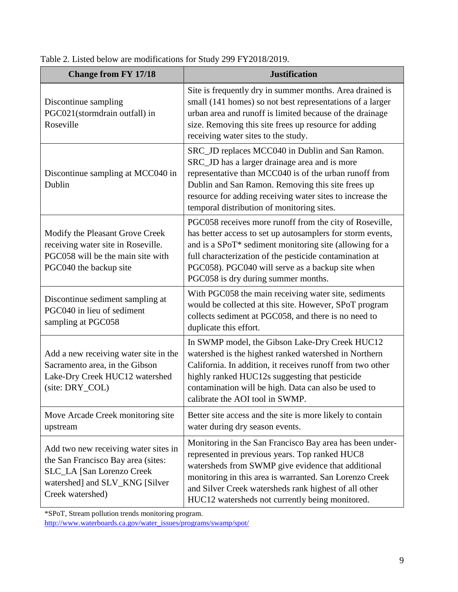| <b>Change from FY 17/18</b>                                                                                                                                          | <b>Justification</b>                                                                                                                                                                                                                                                                                                                    |
|----------------------------------------------------------------------------------------------------------------------------------------------------------------------|-----------------------------------------------------------------------------------------------------------------------------------------------------------------------------------------------------------------------------------------------------------------------------------------------------------------------------------------|
| Discontinue sampling<br>PGC021(stormdrain outfall) in<br>Roseville                                                                                                   | Site is frequently dry in summer months. Area drained is<br>small (141 homes) so not best representations of a larger<br>urban area and runoff is limited because of the drainage<br>size. Removing this site frees up resource for adding<br>receiving water sites to the study.                                                       |
| Discontinue sampling at MCC040 in<br>Dublin                                                                                                                          | SRC_JD replaces MCC040 in Dublin and San Ramon.<br>SRC_JD has a larger drainage area and is more<br>representative than MCC040 is of the urban runoff from<br>Dublin and San Ramon. Removing this site frees up<br>resource for adding receiving water sites to increase the<br>temporal distribution of monitoring sites.              |
| Modify the Pleasant Grove Creek<br>receiving water site in Roseville.<br>PGC058 will be the main site with<br>PGC040 the backup site                                 | PGC058 receives more runoff from the city of Roseville,<br>has better access to set up autosamplers for storm events,<br>and is a SPoT* sediment monitoring site (allowing for a<br>full characterization of the pesticide contamination at<br>PGC058). PGC040 will serve as a backup site when<br>PGC058 is dry during summer months.  |
| Discontinue sediment sampling at<br>PGC040 in lieu of sediment<br>sampling at PGC058                                                                                 | With PGC058 the main receiving water site, sediments<br>would be collected at this site. However, SPoT program<br>collects sediment at PGC058, and there is no need to<br>duplicate this effort.                                                                                                                                        |
| Add a new receiving water site in the<br>Sacramento area, in the Gibson<br>Lake-Dry Creek HUC12 watershed<br>(site: DRY_COL)                                         | In SWMP model, the Gibson Lake-Dry Creek HUC12<br>watershed is the highest ranked watershed in Northern<br>California. In addition, it receives runoff from two other<br>highly ranked HUC12s suggesting that pesticide<br>contamination will be high. Data can also be used to<br>calibrate the AOI tool in SWMP.                      |
| Move Arcade Creek monitoring site<br>upstream                                                                                                                        | Better site access and the site is more likely to contain<br>water during dry season events.                                                                                                                                                                                                                                            |
| Add two new receiving water sites in<br>the San Francisco Bay area (sites:<br><b>SLC_LA</b> [San Lorenzo Creek<br>watershed] and SLV_KNG [Silver<br>Creek watershed) | Monitoring in the San Francisco Bay area has been under-<br>represented in previous years. Top ranked HUC8<br>watersheds from SWMP give evidence that additional<br>monitoring in this area is warranted. San Lorenzo Creek<br>and Silver Creek watersheds rank highest of all other<br>HUC12 watersheds not currently being monitored. |

Table 2. Listed below are modifications for Study 299 FY2018/2019.

\*SPoT, Stream pollution trends monitoring program.

[http://www.waterboards.ca.gov/water\\_issues/programs/swamp/spot/](http://www.waterboards.ca.gov/water_issues/programs/swamp/spot/)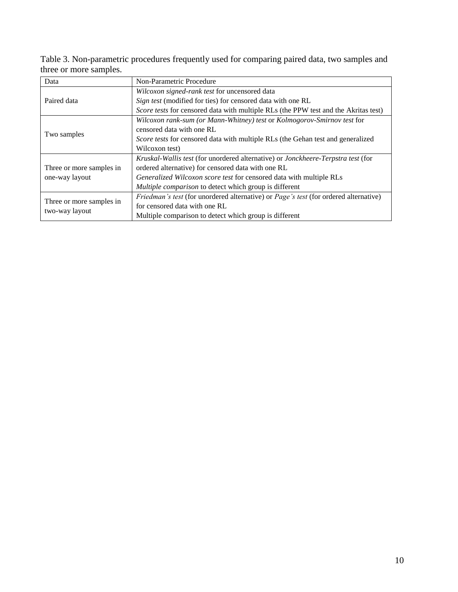Table 3. Non-parametric procedures frequently used for comparing paired data, two samples and three or more samples.

| Data                     | Non-Parametric Procedure                                                               |  |  |  |  |  |  |
|--------------------------|----------------------------------------------------------------------------------------|--|--|--|--|--|--|
|                          | Wilcoxon signed-rank test for uncensored data                                          |  |  |  |  |  |  |
| Paired data              | Sign test (modified for ties) for censored data with one RL                            |  |  |  |  |  |  |
|                          | Score tests for censored data with multiple RLs (the PPW test and the Akritas test)    |  |  |  |  |  |  |
|                          | Wilcoxon rank-sum (or Mann-Whitney) test or Kolmogorov-Smirnov test for                |  |  |  |  |  |  |
|                          | censored data with one RL                                                              |  |  |  |  |  |  |
| Two samples              | <i>Score tests</i> for censored data with multiple RLs (the Gehan test and generalized |  |  |  |  |  |  |
|                          | Wilcoxon test)                                                                         |  |  |  |  |  |  |
|                          | Kruskal-Wallis test (for unordered alternative) or Jonckheere-Terpstra test (for       |  |  |  |  |  |  |
| Three or more samples in | ordered alternative) for censored data with one RL                                     |  |  |  |  |  |  |
| one-way layout           | Generalized Wilcoxon score test for censored data with multiple RLs                    |  |  |  |  |  |  |
|                          | Multiple comparison to detect which group is different                                 |  |  |  |  |  |  |
|                          | Friedman's test (for unordered alternative) or Page's test (for ordered alternative)   |  |  |  |  |  |  |
| Three or more samples in | for censored data with one RL                                                          |  |  |  |  |  |  |
| two-way layout           | Multiple comparison to detect which group is different                                 |  |  |  |  |  |  |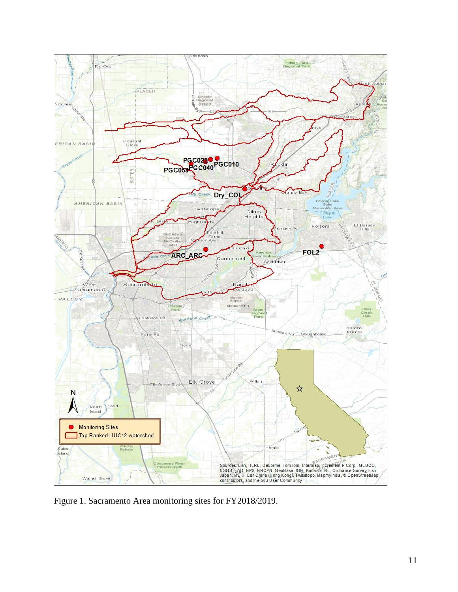

Figure 1. Sacramento Area monitoring sites for FY2018/2019.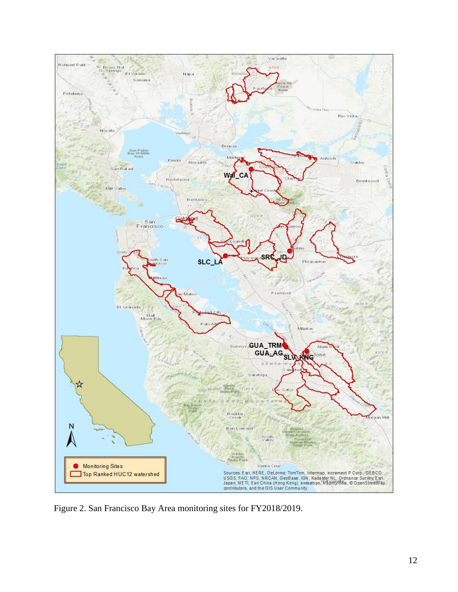

Figure 2. San Francisco Bay Area monitoring sites for FY2018/2019.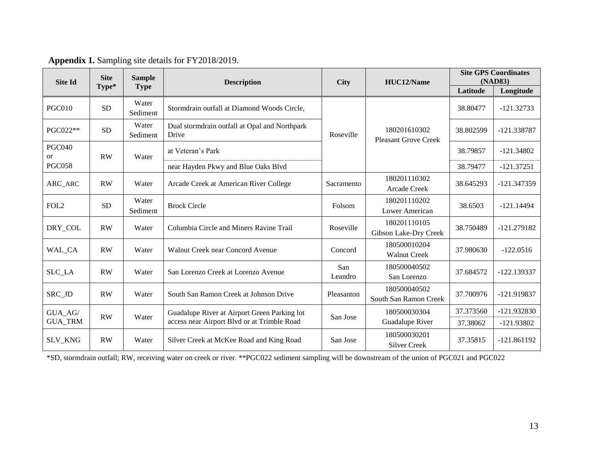| <b>Site Id</b>      | <b>Site</b> | <b>Sample</b>     | <b>Description</b>                                     |                | HUC12/Name                                  | <b>Site GPS Coordinates</b><br>(NAD83) |               |  |
|---------------------|-------------|-------------------|--------------------------------------------------------|----------------|---------------------------------------------|----------------------------------------|---------------|--|
|                     | Type*       | <b>Type</b>       |                                                        | <b>City</b>    |                                             | Latitude                               | Longitude     |  |
| <b>PGC010</b>       | <b>SD</b>   | Water<br>Sediment | Stormdrain outfall at Diamond Woods Circle,            |                |                                             | 38.80477                               | $-121.32733$  |  |
| PGC022**            | <b>SD</b>   | Water<br>Sediment | Dual stormdrain outfall at Opal and Northpark<br>Drive | Roseville      | 180201610302<br><b>Pleasant Grove Creek</b> | 38.802599                              | -121.338787   |  |
| <b>PGC040</b><br>or | <b>RW</b>   | Water             | at Veteran's Park                                      |                |                                             | 38.79857                               | $-121.34802$  |  |
| <b>PGC058</b>       |             |                   | near Hayden Pkwy and Blue Oaks Blvd                    |                |                                             | 38.79477                               | $-121.37251$  |  |
| ARC_ARC             | RW          | Water             | Arcade Creek at American River College                 | Sacramento     | 180201110302<br>Arcade Creek                | 38.645293                              | $-121.347359$ |  |
| FOL <sub>2</sub>    | <b>SD</b>   | Water<br>Sediment | <b>Brock Circle</b>                                    | Folsom         | 180201110202<br>Lower American              | 38.6503                                | $-121.14494$  |  |
| DRY_COL             | <b>RW</b>   | Water             | Columbia Circle and Miners Ravine Trail                | Roseville      | 180201110105<br>Gibson Lake-Dry Creek       | 38.750489                              | $-121.279182$ |  |
| WAL_CA              | RW          | Water             | Walnut Creek near Concord Avenue                       | Concord        | 180500010204<br><b>Walnut Creek</b>         | 37.980630                              | $-122.0516$   |  |
| SLC_LA              | <b>RW</b>   | Water             | San Lorenzo Creek at Lorenzo Avenue                    | San<br>Leandro | 180500040502<br>San Lorenzo                 | 37.684572                              | $-122.139337$ |  |
| SRC_JD              | <b>RW</b>   | Water             | South San Ramon Creek at Johnson Drive                 | Pleasanton     | 180500040502<br>South San Ramon Creek       | 37.700976                              | -121.919837   |  |
| GUA_AG/             | RW          |                   | Guadalupe River at Airport Green Parking lot           |                | 180500030304                                | 37.373560                              | $-121.932830$ |  |
| <b>GUA_TRM</b>      |             | Water             | access near Airport Blvd or at Trimble Road            | San Jose       | Guadalupe River                             | 37.38062                               | $-121.93802$  |  |
| SLV_KNG             | <b>RW</b>   | Water             | Silver Creek at McKee Road and King Road               | San Jose       | 180500030201<br><b>Silver Creek</b>         | 37.35815                               | $-121.861192$ |  |

**Appendix 1.** Sampling site details for FY2018/2019.

\*SD, stormdrain outfall; RW, receiving water on creek or river. \*\*PGC022 sediment sampling will be downstream of the union of PGC021 and PGC022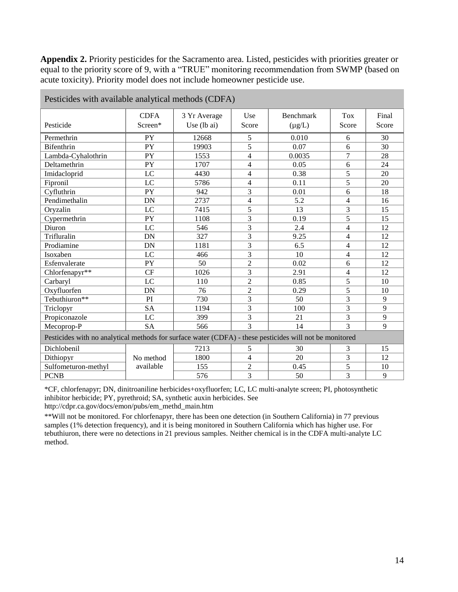**Appendix 2.** Priority pesticides for the Sacramento area. Listed, pesticides with priorities greater or equal to the priority score of 9, with a "TRUE" monitoring recommendation from SWMP (based on acute toxicity). Priority model does not include homeowner pesticide use.

| Pesticides with available analytical methods (CDFA)                                                     |             |                       |                          |                  |                |       |  |  |  |
|---------------------------------------------------------------------------------------------------------|-------------|-----------------------|--------------------------|------------------|----------------|-------|--|--|--|
|                                                                                                         | <b>CDFA</b> | 3 Yr Average          | Use                      | <b>Benchmark</b> | Tox            | Final |  |  |  |
| Pesticide                                                                                               | Screen*     | Use $(lb \text{ ai})$ | Score                    | $(\mu g/L)$      | Score          | Score |  |  |  |
| Permethrin                                                                                              | <b>PY</b>   | 12668                 | 5                        | 0.010            | 6              | 30    |  |  |  |
| <b>Bifenthrin</b>                                                                                       | <b>PY</b>   | 19903                 | $\overline{5}$           | 0.07             | 6              | 30    |  |  |  |
| Lambda-Cyhalothrin                                                                                      | PY          | 1553                  | $\overline{4}$           | 0.0035           | $\overline{7}$ | 28    |  |  |  |
| Deltamethrin                                                                                            | <b>PY</b>   | 1707                  | $\overline{\mathcal{L}}$ | 0.05             | 6              | 24    |  |  |  |
| Imidacloprid                                                                                            | LC          | 4430                  | $\overline{4}$           | 0.38             | 5              | 20    |  |  |  |
| Fipronil                                                                                                | LC          | 5786                  | $\overline{4}$           | 0.11             | 5              | 20    |  |  |  |
| Cyfluthrin                                                                                              | PY          | 942                   | 3                        | 0.01             | 6              | 18    |  |  |  |
| Pendimethalin                                                                                           | DN          | 2737                  | $\overline{4}$           | 5.2              | $\overline{4}$ | 16    |  |  |  |
| Oryzalin                                                                                                | LC          | 7415                  | 5                        | 13               | $\overline{3}$ | 15    |  |  |  |
| Cypermethrin                                                                                            | PY          | 1108                  | 3                        | 0.19             | 5              | 15    |  |  |  |
| Diuron                                                                                                  | LC          | 546                   | $\overline{3}$           | 2.4              | $\overline{4}$ | 12    |  |  |  |
| Trifluralin                                                                                             | DN          | 327                   | 3                        | 9.25             | $\overline{4}$ | 12    |  |  |  |
| Prodiamine                                                                                              | DN          | 1181                  | $\overline{3}$           | 6.5              | $\overline{4}$ | 12    |  |  |  |
| Isoxaben                                                                                                | LC          | 466                   | 3                        | 10               | $\overline{4}$ | 12    |  |  |  |
| Esfenvalerate                                                                                           | PY          | 50                    | $\overline{2}$           | 0.02             | 6              | 12    |  |  |  |
| Chlorfenapyr**                                                                                          | CF          | 1026                  | 3                        | 2.91             | $\overline{4}$ | 12    |  |  |  |
| Carbaryl                                                                                                | LC          | 110                   | $\overline{c}$           | 0.85             | 5              | 10    |  |  |  |
| Oxyfluorfen                                                                                             | DN          | 76                    | $\overline{2}$           | 0.29             | 5              | 10    |  |  |  |
| Tebuthiuron**                                                                                           | PI          | 730                   | 3                        | 50               | 3              | 9     |  |  |  |
| Triclopyr                                                                                               | <b>SA</b>   | 1194                  | 3                        | 100              | $\overline{3}$ | 9     |  |  |  |
| Propiconazole                                                                                           | LC          | 399                   | 3                        | 21               | $\overline{3}$ | 9     |  |  |  |
| Mecoprop-P                                                                                              | <b>SA</b>   | 566                   | $\overline{3}$           | 14               | $\overline{3}$ | 9     |  |  |  |
| Pesticides with no analytical methods for surface water (CDFA) - these pesticides will not be monitored |             |                       |                          |                  |                |       |  |  |  |
| Dichlobenil                                                                                             |             | 7213                  | 5                        | 30               | 3              | 15    |  |  |  |
| Dithiopyr                                                                                               | No method   | 1800                  | $\overline{4}$           | 20               | $\overline{3}$ | 12    |  |  |  |
| Sulfometuron-methyl                                                                                     | available   | 155                   | $\overline{2}$           | 0.45             | 5              | 10    |  |  |  |
| <b>PCNB</b>                                                                                             |             | 576                   | 3                        | 50               | $\overline{3}$ | 9     |  |  |  |

Pesticides with available analytical methods (CDFA)

\*CF, chlorfenapyr; DN, dinitroaniline herbicides+oxyfluorfen; LC, LC multi-analyte screen; PI, photosynthetic inhibitor herbicide; PY, pyrethroid; SA, synthetic auxin herbicides. See http://cdpr.ca.gov/docs/emon/pubs/em\_methd\_main.htm

\*\*Will not be monitored. For chlorfenapyr, there has been one detection (in Southern California) in 77 previous samples (1% detection frequency), and it is being monitored in Southern California which has higher use. For tebuthiuron, there were no detections in 21 previous samples. Neither chemical is in the CDFA multi-analyte LC method.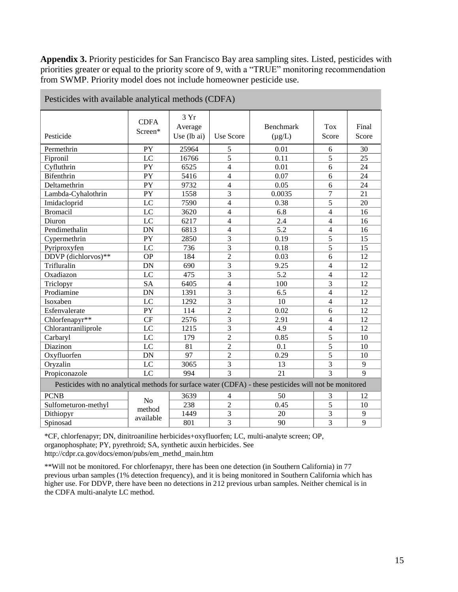**Appendix 3.** Priority pesticides for San Francisco Bay area sampling sites. Listed, pesticides with priorities greater or equal to the priority score of 9, with a "TRUE" monitoring recommendation from SWMP. Priority model does not include homeowner pesticide use.

|                                                                                                         | <b>CDFA</b>    | 3Yr         |                |             |                |                |
|---------------------------------------------------------------------------------------------------------|----------------|-------------|----------------|-------------|----------------|----------------|
|                                                                                                         | Screen*        | Average     |                | Benchmark   | <b>Tox</b>     | Final          |
| Pesticide                                                                                               |                | Use (lb ai) | Use Score      | $(\mu g/L)$ | Score          | Score          |
| Permethrin                                                                                              | PY             | 25964       | 5              | 0.01        | 6              | 30             |
| Fipronil                                                                                                | LC             | 16766       | $\overline{5}$ | 0.11        | 5              | 25             |
| Cyfluthrin                                                                                              | PY             | 6525        | $\overline{4}$ | 0.01        | 6              | 24             |
| <b>Bifenthrin</b>                                                                                       | PY             | 5416        | $\overline{4}$ | 0.07        | 6              | 24             |
| Deltamethrin                                                                                            | PY             | 9732        | $\overline{4}$ | 0.05        | 6              | 24             |
| Lambda-Cyhalothrin                                                                                      | PY             | 1558        | $\overline{3}$ | 0.0035      | $\overline{7}$ | 21             |
| Imidacloprid                                                                                            | LC             | 7590        | $\overline{4}$ | 0.38        | 5              | 20             |
| <b>Bromacil</b>                                                                                         | LC             | 3620        | $\overline{4}$ | 6.8         | $\overline{4}$ | 16             |
| Diuron                                                                                                  | LC             | 6217        | $\overline{4}$ | 2.4         | $\overline{4}$ | 16             |
| Pendimethalin                                                                                           | DN             | 6813        | $\overline{4}$ | 5.2         | $\overline{4}$ | 16             |
| Cypermethrin                                                                                            | PY             | 2850        | 3              | 0.19        | 5              | 15             |
| Pyriproxyfen                                                                                            | LC             | 736         | 3              | 0.18        | 5              | 15             |
| DDVP (dichlorvos)**                                                                                     | <b>OP</b>      | 184         | $\overline{2}$ | 0.03        | 6              | 12             |
| Trifluralin                                                                                             | DN             | 690         | 3              | 9.25        | $\overline{4}$ | 12             |
| Oxadiazon                                                                                               | LC             | 475         | $\overline{3}$ | 5.2         | $\overline{4}$ | 12             |
| Triclopyr                                                                                               | <b>SA</b>      | 6405        | $\overline{4}$ | 100         | $\overline{3}$ | 12             |
| Prodiamine                                                                                              | DN             | 1391        | 3              | 6.5         | $\overline{4}$ | 12             |
| Isoxaben                                                                                                | LC             | 1292        | 3              | 10          | $\overline{4}$ | 12             |
| Esfenvalerate                                                                                           | PY             | 114         | $\overline{2}$ | 0.02        | 6              | 12             |
| Chlorfenapyr**                                                                                          | <b>CF</b>      | 2576        | $\overline{3}$ | 2.91        | $\overline{4}$ | 12             |
| Chlorantraniliprole                                                                                     | LC             | 1215        | 3              | 4.9         | $\overline{4}$ | 12             |
| Carbaryl                                                                                                | LC             | 179         | $\overline{2}$ | 0.85        | 5              | 10             |
| Diazinon                                                                                                | LC             | 81          | $\overline{2}$ | 0.1         | $\overline{5}$ | 10             |
| Oxyfluorfen                                                                                             | <b>DN</b>      | 97          | $\overline{2}$ | 0.29        | 5              | 10             |
| Oryzalin                                                                                                | LC             | 3065        | 3              | 13          | 3              | 9              |
| Propiconazole                                                                                           | LC             | 994         | $\overline{3}$ | 21          | $\overline{3}$ | $\overline{9}$ |
| Pesticides with no analytical methods for surface water (CDFA) - these pesticides will not be monitored |                |             |                |             |                |                |
| <b>PCNB</b>                                                                                             |                | 3639        | 4              | 50          | 3              | 12             |
| Sulfometuron-methyl                                                                                     | N <sub>o</sub> | 238         | $\overline{2}$ | 0.45        | 5              | 10             |
| Dithiopyr                                                                                               | method         | 1449        | 3              | 20          | 3              | 9              |
| Spinosad                                                                                                | available      | 801         | $\overline{3}$ | 90          | $\overline{3}$ | 9              |

Pesticides with available analytical methods (CDFA)

\*CF, chlorfenapyr; DN, dinitroaniline herbicides+oxyfluorfen; LC, multi-analyte screen; OP, organophosphate; PY, pyrethroid; SA, synthetic auxin herbicides. See http://cdpr.ca.gov/docs/emon/pubs/em\_methd\_main.htm

\*\*Will not be monitored. For chlorfenapyr, there has been one detection (in Southern California) in 77 previous urban samples (1% detection frequency), and it is being monitored in Southern California which has higher use. For DDVP, there have been no detections in 212 previous urban samples. Neither chemical is in the CDFA multi-analyte LC method.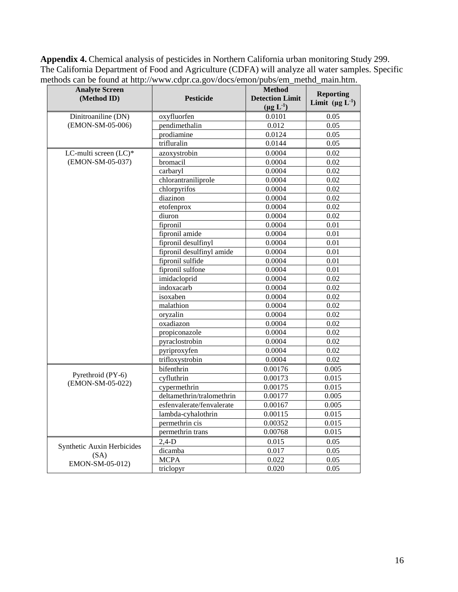**Appendix 4.** Chemical analysis of pesticides in Northern California urban monitoring Study 299. The California Department of Food and Agriculture (CDFA) will analyze all water samples. Specific methods can be found at [http://www.cdpr.ca.gov/docs/emon/pubs/em\\_methd\\_main.htm.](http://www.cdpr.ca.gov/docs/emon/pubs/em_methd_main.htm)

| <b>Analyte Screen</b><br>(Method ID)  | <b>Pesticide</b>          | <b>Method</b><br><b>Detection Limit</b><br>$(\mu g L^{-1})$ | <b>Reporting</b><br>Limit $(\mu g L^{-1})$ |
|---------------------------------------|---------------------------|-------------------------------------------------------------|--------------------------------------------|
| Dinitroaniline (DN)                   | oxyfluorfen               | 0.0101                                                      | 0.05                                       |
| (EMON-SM-05-006)                      | pendimethalin             | 0.012                                                       | 0.05                                       |
|                                       | prodiamine                | 0.0124                                                      | 0.05                                       |
|                                       | trifluralin               | 0.0144                                                      | 0.05                                       |
| LC-multi screen (LC)*                 | azoxystrobin              | 0.0004                                                      | 0.02                                       |
| (EMON-SM-05-037)                      | bromacil                  | 0.0004                                                      | 0.02                                       |
|                                       | carbaryl                  | 0.0004                                                      | 0.02                                       |
|                                       | chlorantraniliprole       | 0.0004                                                      | 0.02                                       |
|                                       | chlorpyrifos              | 0.0004                                                      | 0.02                                       |
|                                       | diazinon                  | 0.0004                                                      | 0.02                                       |
|                                       | etofenprox                | 0.0004                                                      | 0.02                                       |
|                                       | diuron                    | 0.0004                                                      | 0.02                                       |
|                                       | fipronil                  | 0.0004                                                      | 0.01                                       |
|                                       | fipronil amide            | 0.0004                                                      | 0.01                                       |
|                                       | fipronil desulfinyl       | 0.0004                                                      | 0.01                                       |
|                                       | fipronil desulfinyl amide | 0.0004                                                      | 0.01                                       |
|                                       | fipronil sulfide          | 0.0004                                                      | 0.01                                       |
|                                       | fipronil sulfone          | 0.0004                                                      | 0.01                                       |
|                                       | imidacloprid              | 0.0004                                                      | 0.02                                       |
|                                       | indoxacarb                | 0.0004                                                      | 0.02                                       |
|                                       | isoxaben                  | 0.0004                                                      | 0.02                                       |
|                                       | malathion                 | 0.0004                                                      | 0.02                                       |
|                                       | oryzalin                  | 0.0004                                                      | 0.02                                       |
|                                       | $\alpha$ xadiazon         | 0.0004                                                      | 0.02                                       |
|                                       | propiconazole             | 0.0004                                                      | 0.02                                       |
|                                       | pyraclostrobin            | 0.0004                                                      | 0.02                                       |
|                                       | pyriproxyfen              | 0.0004                                                      | 0.02                                       |
|                                       | trifloxystrobin           | 0.0004                                                      | 0.02                                       |
|                                       | bifenthrin                | 0.00176                                                     | 0.005                                      |
| Pyrethroid (PY-6)<br>(EMON-SM-05-022) | cyfluthrin                | 0.00173                                                     | 0.015                                      |
|                                       | cypermethrin              | 0.00175                                                     | 0.015                                      |
|                                       | deltamethrin/tralomethrin | 0.00177                                                     | 0.005                                      |
|                                       | esfenvalerate/fenvalerate | 0.00167                                                     | 0.005                                      |
|                                       | lambda-cyhalothrin        | 0.00115                                                     | 0.015                                      |
|                                       | permethrin cis            | 0.00352                                                     | 0.015                                      |
|                                       | permethrin trans          | 0.00768                                                     | 0.015                                      |
| Synthetic Auxin Herbicides            | $2,4-D$                   | 0.015                                                       | 0.05                                       |
| (SA)                                  | dicamba                   | 0.017                                                       | 0.05                                       |
| EMON-SM-05-012)                       | <b>MCPA</b>               | 0.022                                                       | 0.05                                       |
|                                       | triclopyr                 | 0.020                                                       | 0.05                                       |